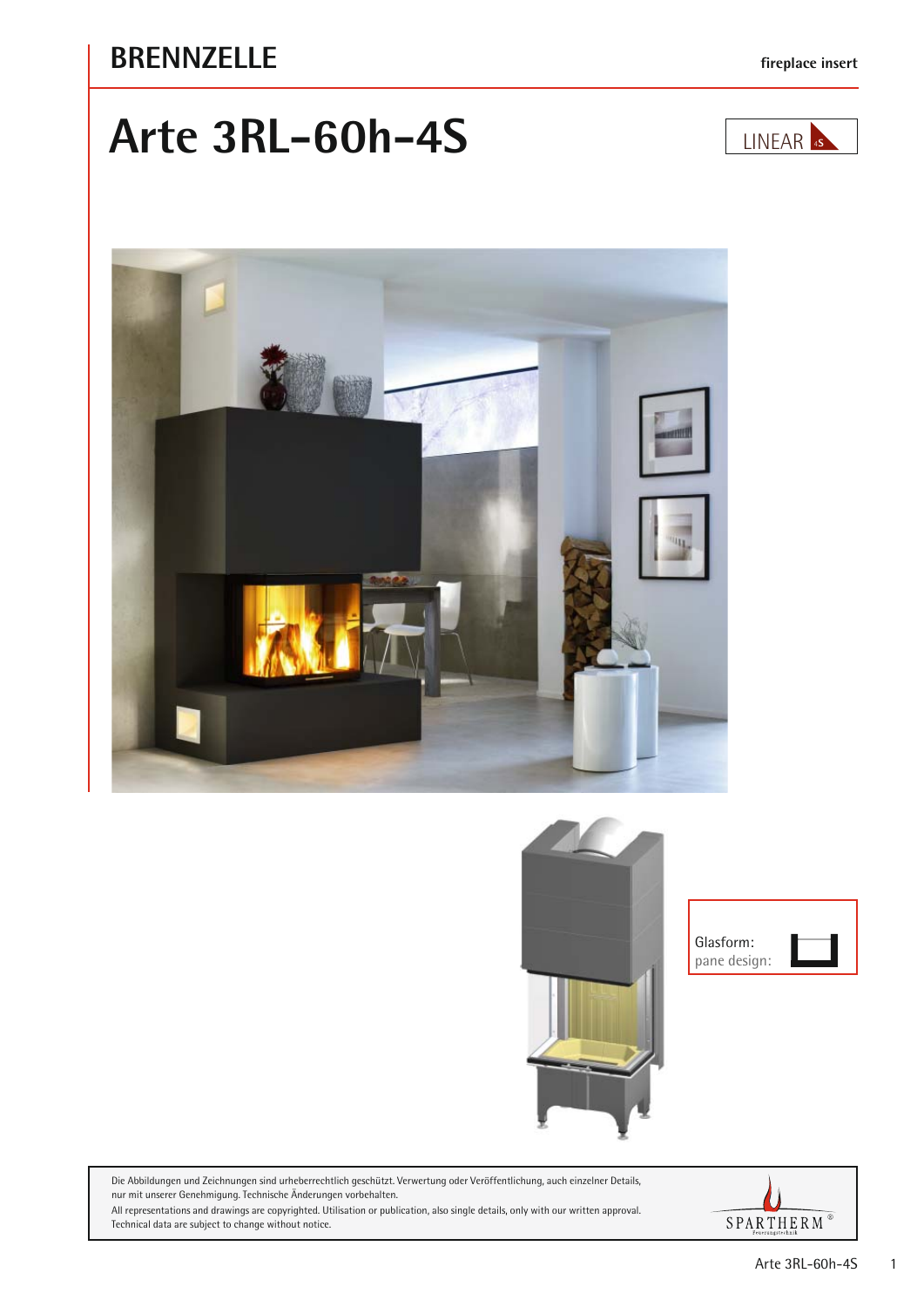#### **BRENNZELLE fireplace insert**

# **Arte 3RL-60h-4S**









Die Abbildungen und Zeichnungen sind urheberrechtlich geschützt. Verwertung oder Veröffentlichung, auch einzelner Details, nur mit unserer Genehmigung. Technische Änderungen vorbehalten.

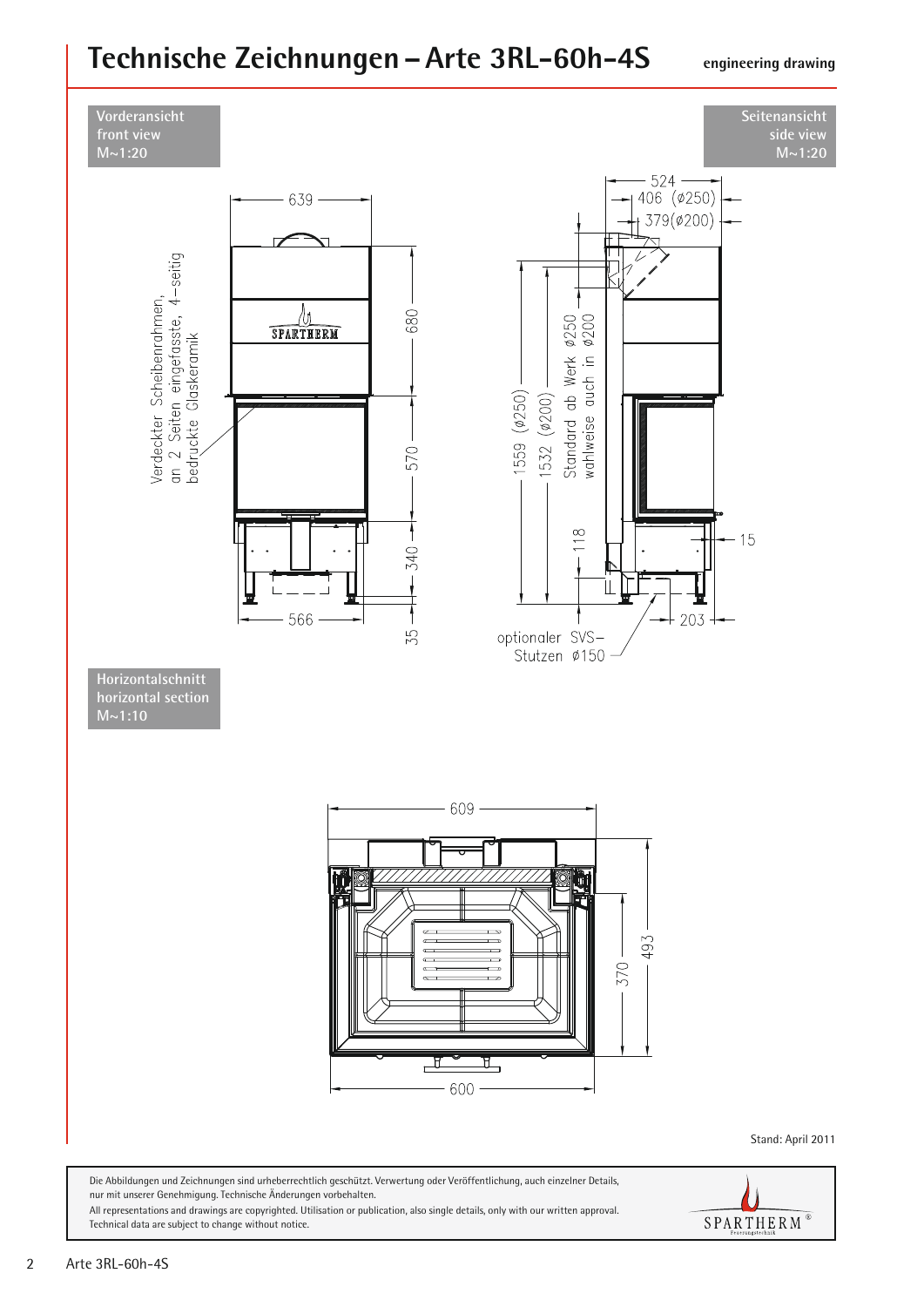### **Technische Zeichnungen –Arte 3RL-60h-4S**

**engineering drawing**



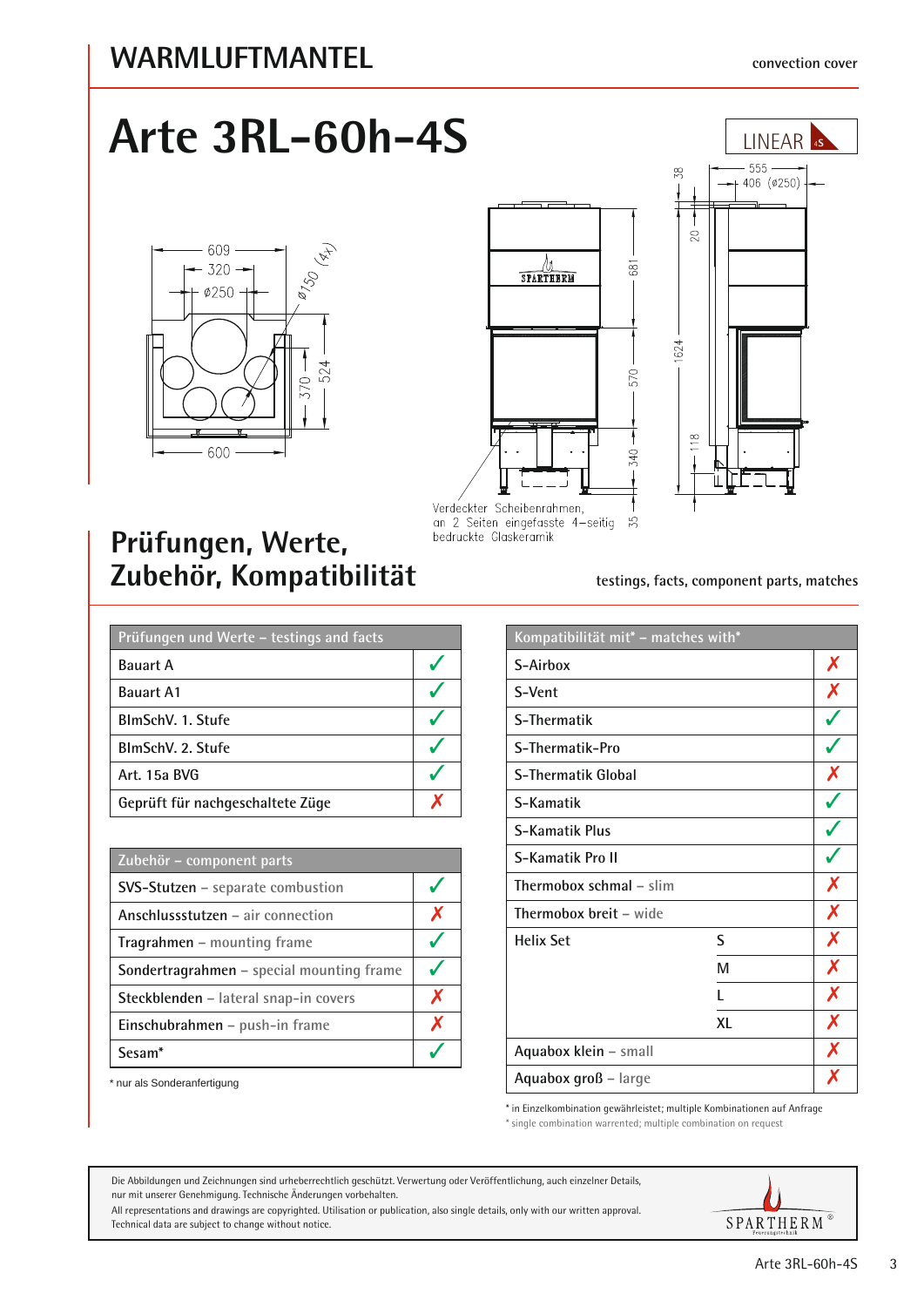## **Arte 3RL-60h-4S**







Verdeckter Scheibenrahmen, an 2 Seiten eingefasste 4-seitig bedruckte Glaskeramik

### **Prüfungen, Werte,**  Zubehör, Kompatibilität **testings, facts, component parts, matches**

| Prüfungen und Werte – testings and facts |  |  |
|------------------------------------------|--|--|
| <b>Bauart A</b>                          |  |  |
| <b>Bauart A1</b>                         |  |  |
| BlmSchV. 1. Stufe                        |  |  |
| BlmSchV. 2. Stufe                        |  |  |
| Art. 15a BVG                             |  |  |
| Geprüft für nachgeschaltete Züge         |  |  |

| Zubehör – component parts                 |   |
|-------------------------------------------|---|
| SVS-Stutzen - separate combustion         |   |
| Anschlussstutzen – air connection         | Х |
| <b>Tragrahmen</b> – mounting frame        |   |
| Sondertragrahmen - special mounting frame |   |
| Steckblenden - lateral snap-in covers     | X |
| Einschubrahmen - push-in frame            | Х |
| Sesam <sup>*</sup>                        |   |

\* nur als Sonderanfertigung

| Kompatibilität mit* - matches with* |    |                  |
|-------------------------------------|----|------------------|
| S-Airbox                            |    | Х                |
| S-Vent                              |    | X                |
| S-Thermatik                         |    |                  |
| S-Thermatik-Pro                     |    |                  |
| <b>S-Thermatik Global</b>           |    | X                |
| S-Kamatik                           |    |                  |
| <b>S-Kamatik Plus</b>               |    |                  |
| S-Kamatik Pro II                    |    |                  |
| Thermobox schmal – slim             |    | Х                |
| <b>Thermobox breit - wide</b>       |    | X                |
| <b>Helix Set</b>                    | S  | $\boldsymbol{X}$ |
|                                     | M  | X                |
|                                     | L  | X                |
|                                     | XL | X                |
| Aquabox klein - small               |    | X                |
| Aquabox groß - large                |    | X                |

\* in Einzelkombination gewährleistet; multiple Kombinationen auf Anfrage

\* single combination warrented; multiple combination on request

Die Abbildungen und Zeichnungen sind urheberrechtlich geschützt. Verwertung oder Veröffentlichung, auch einzelner Details, nur mit unserer Genehmigung. Technische Änderungen vorbehalten.